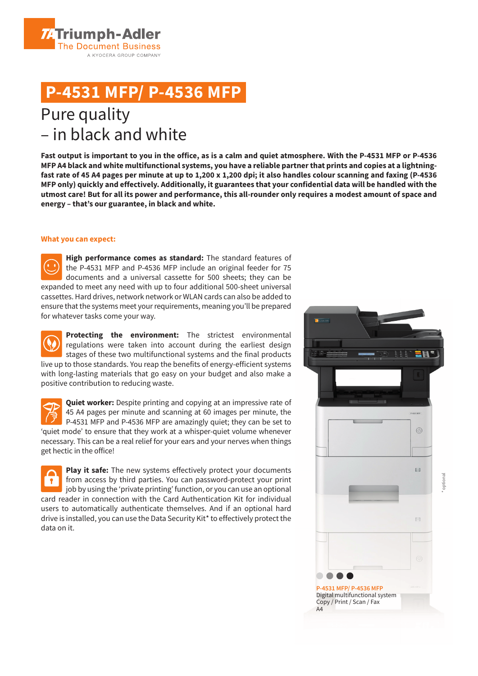**ZATriumph-Adler The Document Business** A KYOCERA GROUP COMPANY

## **P-4531 MFP/ P-4536 MFP**

### Pure quality – in black and white

**Fast output is important to you in the office, as is a calm and quiet atmosphere. With the P-4531 MFP or P-4536 MFP A4 black and white multifunctional systems, you have a reliable partner that prints and copies at a lightningfast rate of 45 A4 pages per minute at up to 1,200 x 1,200 dpi; it also handles colour scanning and faxing (P-4536 MFP only) quickly and effectively. Additionally, it guarantees that your confidential data will be handled with the utmost care! But for all its power and performance, this all-rounder only requires a modest amount of space and energy – that's our guarantee, in black and white.**

#### **What you can expect:**

**High performance comes as standard:** The standard features of the P-4531 MFP and P-4536 MFP include an original feeder for 75 documents and a universal cassette for 500 sheets; they can be expanded to meet any need with up to four additional 500-sheet universal cassettes. Hard drives, network network or WLAN cards can also be added to ensure that the systems meet your requirements, meaning you'll be prepared for whatever tasks come your way.

**Protecting the environment:** The strictest environmental regulations were taken into account during the earliest design stages of these two multifunctional systems and the final products live up to those standards. You reap the benefits of energy-efficient systems with long-lasting materials that go easy on your budget and also make a positive contribution to reducing waste.

**Quiet worker:** Despite printing and copying at an impressive rate of 45 A4 pages per minute and scanning at 60 images per minute, the P-4531 MFP and P-4536 MFP are amazingly quiet; they can be set to 'quiet mode' to ensure that they work at a whisper-quiet volume whenever necessary. This can be a real relief for your ears and your nerves when things get hectic in the office!

**Play it safe:** The new systems effectively protect your documents from access by third parties. You can password-protect your print job by using the 'private printing' function, or you can use an optional card reader in connection with the Card Authentication Kit for individual users to automatically authenticate themselves. And if an optional hard drive is installed, you can use the Data Security Kit\* to effectively protect the data on it.